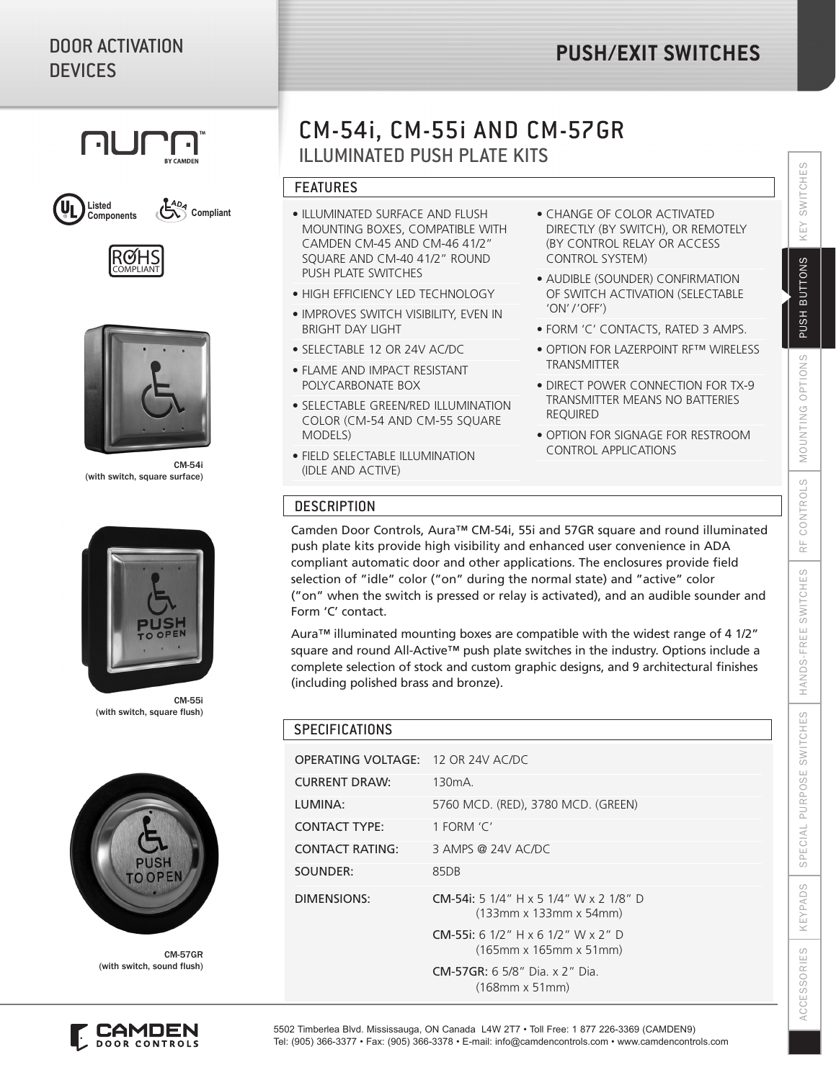# DOOR ACTIVATION **DEVICES**

# **PUSH/EXIT SWITCHES**







CM-54i (with switch, square surface)



CM-55i (with switch, square flush)



CM-57GR (with switch, sound flush)



# ILLUMINATED PUSH PLATE KITS CM-54i, CM-55i AND CM-57GR

## FEATURES

- ILLUMINATED SURFACE AND FLUSH MOUNTING BOXES, COMPATIBLE WITH CAMDEN CM-45 AND CM-46 4 1/2" SQUARE AND CM-40 4 1/2" ROUND PUSH PLATE SWITCHES
- HIGH EFFICIENCY LED TECHNOLOGY
- IMPROVES SWITCH VISIBILITY, EVEN IN BRIGHT DAY LIGHT
- SELECTABLE 12 OR 24V AC/DC
- FLAME AND IMPACT RESISTANT POLYCARBONATE BOX
- SELECTABLE GREEN/RED ILLUMINATION COLOR (CM-54 AND CM-55 SQUARE MODELS)
- FIELD SELECTABLE ILLUMINATION (IDLE AND ACTIVE)
- CHANGE OF COLOR ACTIVATED DIRECTLY (BY SWITCH), OR REMOTELY (BY CONTROL RELAY OR ACCESS CONTROL SYSTEM)
- AUDIBLE (SOUNDER) CONFIRMATION OF SWITCH ACTIVATION (SELECTABLE 'ON' / 'OFF')
- FORM 'C' CONTACTS, RATED 3 AMPS.
- OPTION FOR LAZERPOINT RF™ WIRELESS **TRANSMITTER**
- DIRECT POWER CONNECTION FOR TX-9 TRANSMITTER MEANS NO BATTERIES REQUIRED
- OPTION FOR SIGNAGE FOR RESTROOM CONTROL APPLICATIONS

## **DESCRIPTION**

Camden Door Controls, Aura™ CM-54i, 55i and 57GR square and round illuminated push plate kits provide high visibility and enhanced user convenience in ADA compliant automatic door and other applications. The enclosures provide field selection of "idle" color ("on" during the normal state) and "active" color ("on" when the switch is pressed or relay is activated), and an audible sounder and Form 'C' contact.

Aura™ illuminated mounting boxes are compatible with the widest range of 4 1/2" square and round All-Active™ push plate switches in the industry. Options include a complete selection of stock and custom graphic designs, and 9 architectural finishes (including polished brass and bronze).

| <b>SPECIFICATIONS</b>                     |                                                                                                         |  |
|-------------------------------------------|---------------------------------------------------------------------------------------------------------|--|
| <b>OPERATING VOLTAGE: 12 OR 24V AC/DC</b> |                                                                                                         |  |
| <b>CURRENT DRAW:</b>                      | $130mA$ .                                                                                               |  |
| LUMINA:                                   | 5760 MCD. (RED), 3780 MCD. (GREEN)                                                                      |  |
| <b>CONTACT TYPE:</b>                      | 1 FORM 'C'                                                                                              |  |
| <b>CONTACT RATING:</b>                    | $3$ AMPS @ 24V AC/DC                                                                                    |  |
| SOUNDER:                                  | 85DB                                                                                                    |  |
| DIMENSIONS:                               | <b>CM-54i:</b> 5 1/4" H x 5 1/4" W x 2 1/8" D<br>$(133mm \times 133mm \times 54mm)$                     |  |
|                                           | <b>CM-55i:</b> 6 1/2" H x 6 1/2" W x 2" D<br>$(165 \text{mm} \times 165 \text{mm} \times 51 \text{mm})$ |  |
|                                           | <b>CM-57GR:</b> 6 5/8" Dia. x 2" Dia.<br>$(168$ mm x 51mm $)$                                           |  |